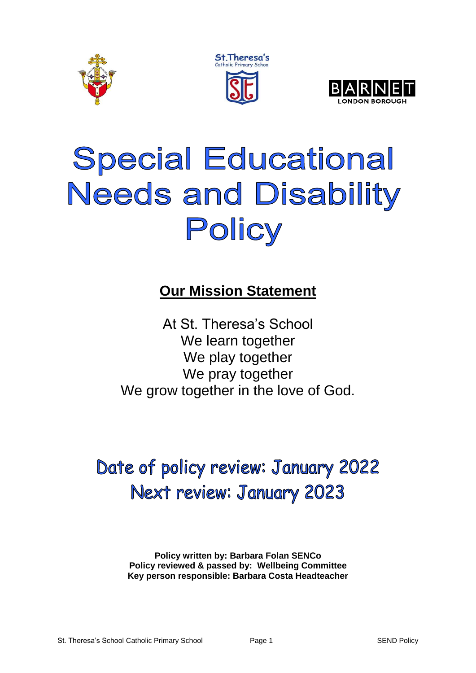





# **Special Educational Needs and Disability** Policy

### **Our Mission Statement**

At St. Theresa's School We learn together We play together We pray together We grow together in the love of God.

## Date of policy review: January 2022 Next review: January 2023

**Policy written by: Barbara Folan SENCo Policy reviewed & passed by: Wellbeing Committee Key person responsible: Barbara Costa Headteacher**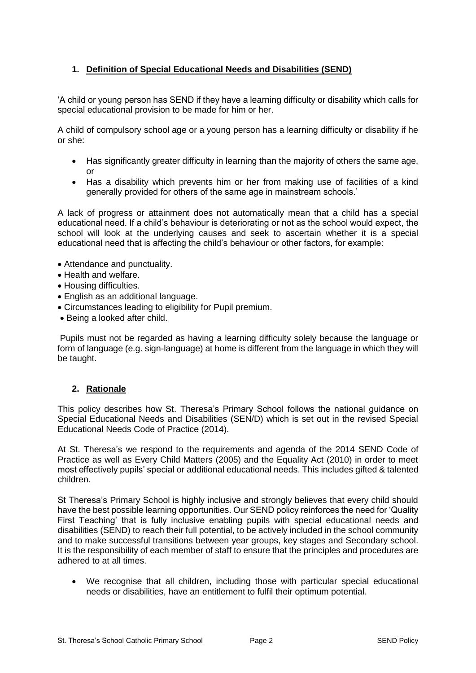#### **1. Definition of Special Educational Needs and Disabilities (SEND)**

'A child or young person has SEND if they have a learning difficulty or disability which calls for special educational provision to be made for him or her.

A child of compulsory school age or a young person has a learning difficulty or disability if he or she:

- Has significantly greater difficulty in learning than the majority of others the same age, or
- Has a disability which prevents him or her from making use of facilities of a kind generally provided for others of the same age in mainstream schools.'

A lack of progress or attainment does not automatically mean that a child has a special educational need. If a child's behaviour is deteriorating or not as the school would expect, the school will look at the underlying causes and seek to ascertain whether it is a special educational need that is affecting the child's behaviour or other factors, for example:

- Attendance and punctuality.
- Health and welfare.
- Housing difficulties.
- English as an additional language.
- Circumstances leading to eligibility for Pupil premium.
- Being a looked after child.

Pupils must not be regarded as having a learning difficulty solely because the language or form of language (e.g. sign-language) at home is different from the language in which they will be taught.

#### **2. Rationale**

This policy describes how St. Theresa's Primary School follows the national guidance on Special Educational Needs and Disabilities (SEN/D) which is set out in the revised Special Educational Needs Code of Practice (2014).

At St. Theresa's we respond to the requirements and agenda of the 2014 SEND Code of Practice as well as Every Child Matters (2005) and the Equality Act (2010) in order to meet most effectively pupils' special or additional educational needs. This includes gifted & talented children.

St Theresa's Primary School is highly inclusive and strongly believes that every child should have the best possible learning opportunities. Our SEND policy reinforces the need for 'Quality First Teaching' that is fully inclusive enabling pupils with special educational needs and disabilities (SEND) to reach their full potential, to be actively included in the school community and to make successful transitions between year groups, key stages and Secondary school. It is the responsibility of each member of staff to ensure that the principles and procedures are adhered to at all times.

 We recognise that all children, including those with particular special educational needs or disabilities, have an entitlement to fulfil their optimum potential.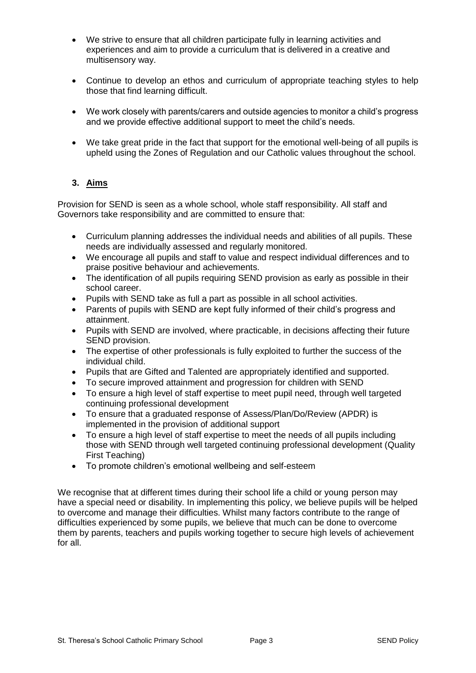- We strive to ensure that all children participate fully in learning activities and experiences and aim to provide a curriculum that is delivered in a creative and multisensory way.
- Continue to develop an ethos and curriculum of appropriate teaching styles to help those that find learning difficult.
- We work closely with parents/carers and outside agencies to monitor a child's progress and we provide effective additional support to meet the child's needs.
- We take great pride in the fact that support for the emotional well-being of all pupils is upheld using the Zones of Regulation and our Catholic values throughout the school.

#### **3. Aims**

Provision for SEND is seen as a whole school, whole staff responsibility. All staff and Governors take responsibility and are committed to ensure that:

- Curriculum planning addresses the individual needs and abilities of all pupils. These needs are individually assessed and regularly monitored.
- We encourage all pupils and staff to value and respect individual differences and to praise positive behaviour and achievements.
- The identification of all pupils requiring SEND provision as early as possible in their school career.
- Pupils with SEND take as full a part as possible in all school activities.
- Parents of pupils with SEND are kept fully informed of their child's progress and attainment.
- Pupils with SEND are involved, where practicable, in decisions affecting their future SEND provision.
- The expertise of other professionals is fully exploited to further the success of the individual child.
- Pupils that are Gifted and Talented are appropriately identified and supported.
- To secure improved attainment and progression for children with SEND
- To ensure a high level of staff expertise to meet pupil need, through well targeted continuing professional development
- To ensure that a graduated response of Assess/Plan/Do/Review (APDR) is implemented in the provision of additional support
- To ensure a high level of staff expertise to meet the needs of all pupils including those with SEND through well targeted continuing professional development (Quality First Teaching)
- To promote children's emotional wellbeing and self-esteem

We recognise that at different times during their school life a child or young person may have a special need or disability. In implementing this policy, we believe pupils will be helped to overcome and manage their difficulties. Whilst many factors contribute to the range of difficulties experienced by some pupils, we believe that much can be done to overcome them by parents, teachers and pupils working together to secure high levels of achievement for all.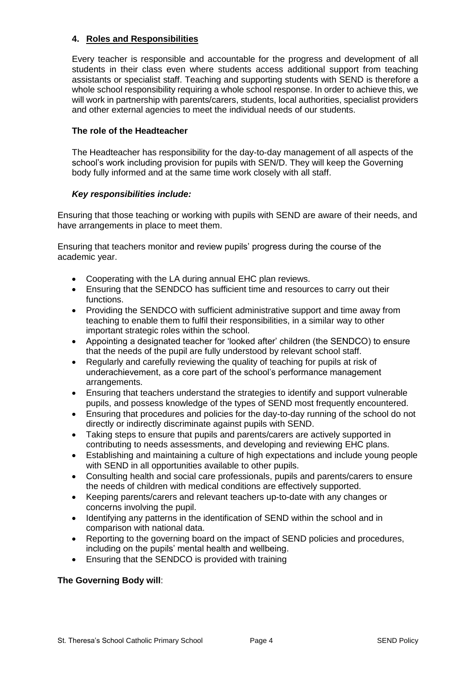#### **4. Roles and Responsibilities**

Every teacher is responsible and accountable for the progress and development of all students in their class even where students access additional support from teaching assistants or specialist staff. Teaching and supporting students with SEND is therefore a whole school responsibility requiring a whole school response. In order to achieve this, we will work in partnership with parents/carers, students, local authorities, specialist providers and other external agencies to meet the individual needs of our students.

#### **The role of the Headteacher**

The Headteacher has responsibility for the day-to-day management of all aspects of the school's work including provision for pupils with SEN/D. They will keep the Governing body fully informed and at the same time work closely with all staff.

#### *Key responsibilities include:*

Ensuring that those teaching or working with pupils with SEND are aware of their needs, and have arrangements in place to meet them.

Ensuring that teachers monitor and review pupils' progress during the course of the academic year.

- Cooperating with the LA during annual EHC plan reviews.
- Ensuring that the SENDCO has sufficient time and resources to carry out their functions.
- Providing the SENDCO with sufficient administrative support and time away from teaching to enable them to fulfil their responsibilities, in a similar way to other important strategic roles within the school.
- Appointing a designated teacher for 'looked after' children (the SENDCO) to ensure that the needs of the pupil are fully understood by relevant school staff.
- Regularly and carefully reviewing the quality of teaching for pupils at risk of underachievement, as a core part of the school's performance management arrangements.
- Ensuring that teachers understand the strategies to identify and support vulnerable pupils, and possess knowledge of the types of SEND most frequently encountered.
- Ensuring that procedures and policies for the day-to-day running of the school do not directly or indirectly discriminate against pupils with SEND.
- Taking steps to ensure that pupils and parents/carers are actively supported in contributing to needs assessments, and developing and reviewing EHC plans.
- Establishing and maintaining a culture of high expectations and include young people with SEND in all opportunities available to other pupils.
- Consulting health and social care professionals, pupils and parents/carers to ensure the needs of children with medical conditions are effectively supported.
- Keeping parents/carers and relevant teachers up-to-date with any changes or concerns involving the pupil.
- Identifying any patterns in the identification of SEND within the school and in comparison with national data.
- Reporting to the governing board on the impact of SEND policies and procedures, including on the pupils' mental health and wellbeing.
- Ensuring that the SENDCO is provided with training

#### **The Governing Body will**: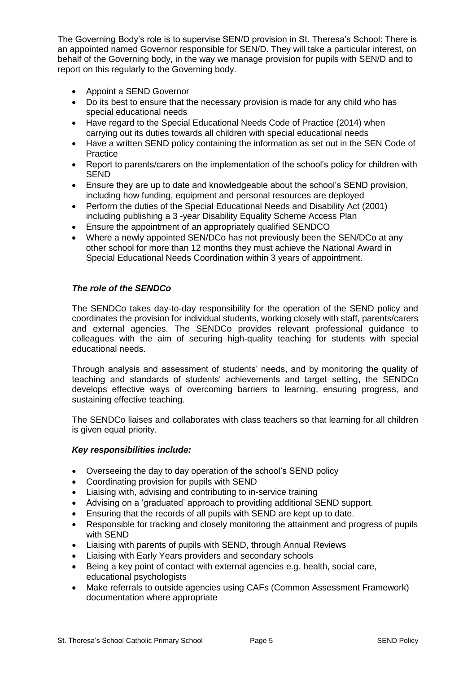The Governing Body's role is to supervise SEN/D provision in St. Theresa's School: There is an appointed named Governor responsible for SEN/D. They will take a particular interest, on behalf of the Governing body, in the way we manage provision for pupils with SEN/D and to report on this regularly to the Governing body.

- Appoint a SEND Governor
- Do its best to ensure that the necessary provision is made for any child who has special educational needs
- Have regard to the Special Educational Needs Code of Practice (2014) when carrying out its duties towards all children with special educational needs
- Have a written SEND policy containing the information as set out in the SEN Code of Practice
- Report to parents/carers on the implementation of the school's policy for children with **SEND**
- Ensure they are up to date and knowledgeable about the school's SEND provision, including how funding, equipment and personal resources are deployed
- Perform the duties of the Special Educational Needs and Disability Act (2001) including publishing a 3 -year Disability Equality Scheme Access Plan
- Ensure the appointment of an appropriately qualified SENDCO
- Where a newly appointed SEN/DCo has not previously been the SEN/DCo at any other school for more than 12 months they must achieve the National Award in Special Educational Needs Coordination within 3 years of appointment.

#### *The role of the SENDCo*

The SENDCo takes day-to-day responsibility for the operation of the SEND policy and coordinates the provision for individual students, working closely with staff, parents/carers and external agencies. The SENDCo provides relevant professional guidance to colleagues with the aim of securing high-quality teaching for students with special educational needs.

Through analysis and assessment of students' needs, and by monitoring the quality of teaching and standards of students' achievements and target setting, the SENDCo develops effective ways of overcoming barriers to learning, ensuring progress, and sustaining effective teaching.

The SENDCo liaises and collaborates with class teachers so that learning for all children is given equal priority.

#### *Key responsibilities include:*

- Overseeing the day to day operation of the school's SEND policy
- Coordinating provision for pupils with SEND
- Liaising with, advising and contributing to in-service training
- Advising on a 'graduated' approach to providing additional SEND support.
- Ensuring that the records of all pupils with SEND are kept up to date.
- Responsible for tracking and closely monitoring the attainment and progress of pupils with SEND
- Liaising with parents of pupils with SEND, through Annual Reviews
- Liaising with Early Years providers and secondary schools
- Being a key point of contact with external agencies e.g. health, social care, educational psychologists
- Make referrals to outside agencies using CAFs (Common Assessment Framework) documentation where appropriate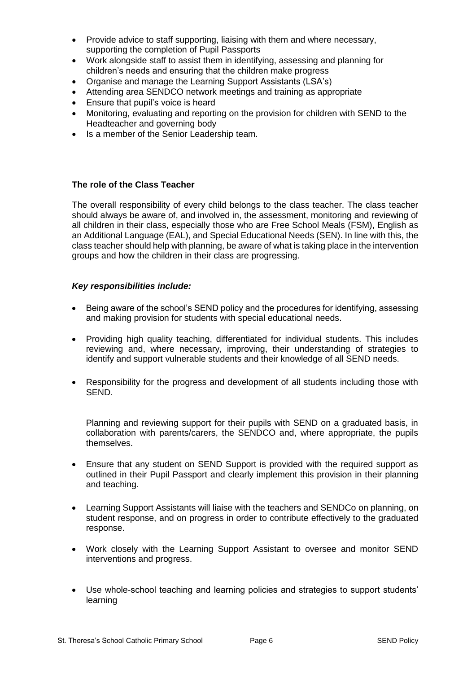- Provide advice to staff supporting, liaising with them and where necessary, supporting the completion of Pupil Passports
- Work alongside staff to assist them in identifying, assessing and planning for children's needs and ensuring that the children make progress
- Organise and manage the Learning Support Assistants (LSA's)
- Attending area SENDCO network meetings and training as appropriate
- Ensure that pupil's voice is heard
- Monitoring, evaluating and reporting on the provision for children with SEND to the Headteacher and governing body
- Is a member of the Senior Leadership team.

#### **The role of the Class Teacher**

The overall responsibility of every child belongs to the class teacher. The class teacher should always be aware of, and involved in, the assessment, monitoring and reviewing of all children in their class, especially those who are Free School Meals (FSM), English as an Additional Language (EAL), and Special Educational Needs (SEN). In line with this, the class teacher should help with planning, be aware of what is taking place in the intervention groups and how the children in their class are progressing.

#### *Key responsibilities include:*

- Being aware of the school's SEND policy and the procedures for identifying, assessing and making provision for students with special educational needs.
- Providing high quality teaching, differentiated for individual students. This includes reviewing and, where necessary, improving, their understanding of strategies to identify and support vulnerable students and their knowledge of all SEND needs.
- Responsibility for the progress and development of all students including those with SEND.

Planning and reviewing support for their pupils with SEND on a graduated basis, in collaboration with parents/carers, the SENDCO and, where appropriate, the pupils themselves.

- Ensure that any student on SEND Support is provided with the required support as outlined in their Pupil Passport and clearly implement this provision in their planning and teaching.
- Learning Support Assistants will liaise with the teachers and SENDCo on planning, on student response, and on progress in order to contribute effectively to the graduated response.
- Work closely with the Learning Support Assistant to oversee and monitor SEND interventions and progress.
- Use whole-school teaching and learning policies and strategies to support students' learning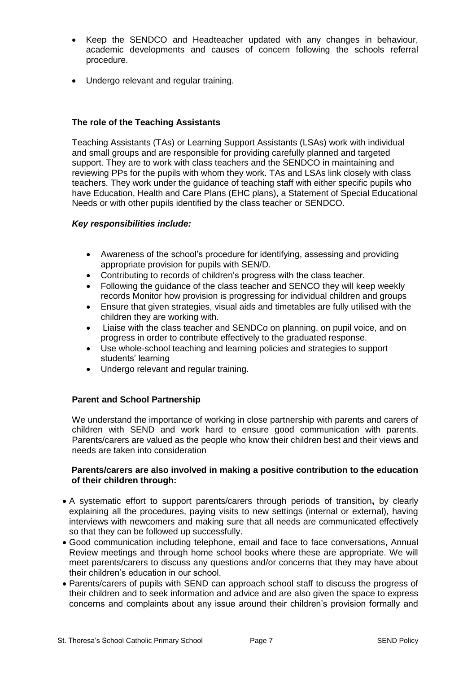- Keep the SENDCO and Headteacher updated with any changes in behaviour, academic developments and causes of concern following the schools referral procedure.
- Undergo relevant and regular training.

#### **The role of the Teaching Assistants**

Teaching Assistants (TAs) or Learning Support Assistants (LSAs) work with individual and small groups and are responsible for providing carefully planned and targeted support. They are to work with class teachers and the SENDCO in maintaining and reviewing PPs for the pupils with whom they work. TAs and LSAs link closely with class teachers. They work under the guidance of teaching staff with either specific pupils who have Education, Health and Care Plans (EHC plans), a Statement of Special Educational Needs or with other pupils identified by the class teacher or SENDCO.

#### *Key responsibilities include:*

- Awareness of the school's procedure for identifying, assessing and providing appropriate provision for pupils with SEN/D.
- Contributing to records of children's progress with the class teacher.
- Following the guidance of the class teacher and SENCO they will keep weekly records Monitor how provision is progressing for individual children and groups
- Ensure that given strategies, visual aids and timetables are fully utilised with the children they are working with.
- Liaise with the class teacher and SENDCo on planning, on pupil voice, and on progress in order to contribute effectively to the graduated response.
- Use whole-school teaching and learning policies and strategies to support students' learning
- Undergo relevant and regular training.

#### **Parent and School Partnership**

We understand the importance of working in close partnership with parents and carers of children with SEND and work hard to ensure good communication with parents. Parents/carers are valued as the people who know their children best and their views and needs are taken into consideration

#### **Parents/carers are also involved in making a positive contribution to the education of their children through:**

- A systematic effort to support parents/carers through periods of transition**,** by clearly explaining all the procedures, paying visits to new settings (internal or external), having interviews with newcomers and making sure that all needs are communicated effectively so that they can be followed up successfully.
- Good communication including telephone, email and face to face conversations, Annual Review meetings and through home school books where these are appropriate. We will meet parents/carers to discuss any questions and/or concerns that they may have about their children's education in our school.
- Parents/carers of pupils with SEND can approach school staff to discuss the progress of their children and to seek information and advice and are also given the space to express concerns and complaints about any issue around their children's provision formally and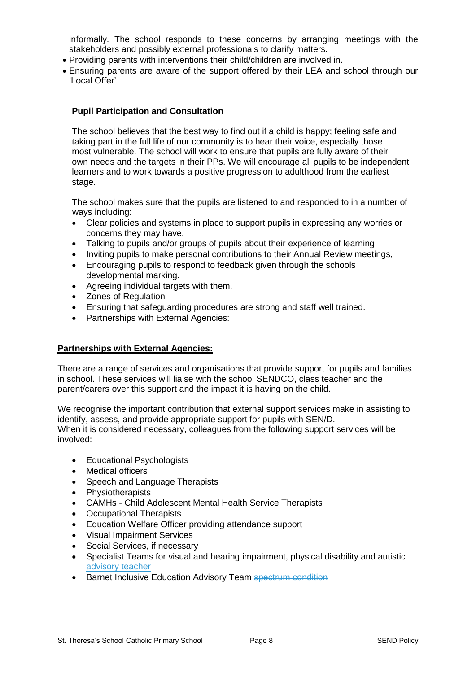informally. The school responds to these concerns by arranging meetings with the stakeholders and possibly external professionals to clarify matters.

- Providing parents with interventions their child/children are involved in.
- Ensuring parents are aware of the support offered by their LEA and school through our 'Local Offer'.

#### **Pupil Participation and Consultation**

The school believes that the best way to find out if a child is happy; feeling safe and taking part in the full life of our community is to hear their voice, especially those most vulnerable. The school will work to ensure that pupils are fully aware of their own needs and the targets in their PPs. We will encourage all pupils to be independent learners and to work towards a positive progression to adulthood from the earliest stage.

The school makes sure that the pupils are listened to and responded to in a number of ways including:

- Clear policies and systems in place to support pupils in expressing any worries or concerns they may have.
- Talking to pupils and/or groups of pupils about their experience of learning
- Inviting pupils to make personal contributions to their Annual Review meetings,
- Encouraging pupils to respond to feedback given through the schools developmental marking.
- Agreeing individual targets with them.
- Zones of Regulation
- Ensuring that safeguarding procedures are strong and staff well trained.
- Partnerships with External Agencies:

#### **Partnerships with External Agencies:**

There are a range of services and organisations that provide support for pupils and families in school. These services will liaise with the school SENDCO, class teacher and the parent/carers over this support and the impact it is having on the child.

We recognise the important contribution that external support services make in assisting to identify, assess, and provide appropriate support for pupils with SEN/D. When it is considered necessary, colleagues from the following support services will be involved:

- Educational Psychologists
- Medical officers
- Speech and Language Therapists
- Physiotherapists
- CAMHs Child Adolescent Mental Health Service Therapists
- Occupational Therapists
- Education Welfare Officer providing attendance support
- Visual Impairment Services
- Social Services, if necessary
- Specialist Teams for visual and hearing impairment, physical disability and autistic advisory teacher
- Barnet Inclusive Education Advisory Team spectrum condition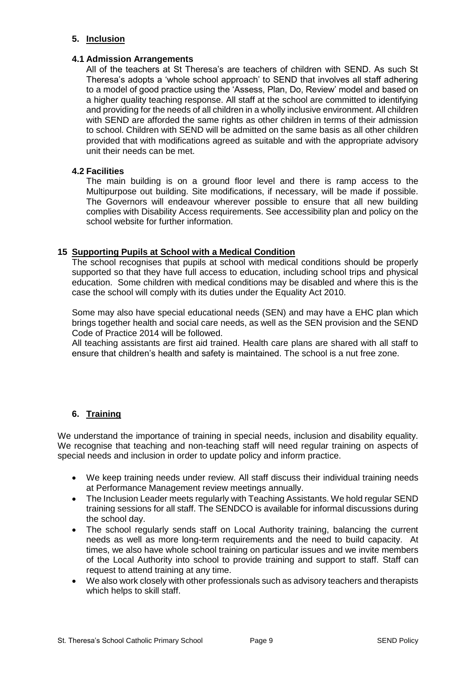#### **5. Inclusion**

#### **4.1 Admission Arrangements**

All of the teachers at St Theresa's are teachers of children with SEND. As such St Theresa's adopts a 'whole school approach' to SEND that involves all staff adhering to a model of good practice using the 'Assess, Plan, Do, Review' model and based on a higher quality teaching response. All staff at the school are committed to identifying and providing for the needs of all children in a wholly inclusive environment. All children with SEND are afforded the same rights as other children in terms of their admission to school. Children with SEND will be admitted on the same basis as all other children provided that with modifications agreed as suitable and with the appropriate advisory unit their needs can be met.

#### **4.2 Facilities**

The main building is on a ground floor level and there is ramp access to the Multipurpose out building. Site modifications, if necessary, will be made if possible. The Governors will endeavour wherever possible to ensure that all new building complies with Disability Access requirements. See accessibility plan and policy on the school website for further information.

#### **15 Supporting Pupils at School with a Medical Condition**

The school recognises that pupils at school with medical conditions should be properly supported so that they have full access to education, including school trips and physical education. Some children with medical conditions may be disabled and where this is the case the school will comply with its duties under the Equality Act 2010.

Some may also have special educational needs (SEN) and may have a EHC plan which brings together health and social care needs, as well as the SEN provision and the SEND Code of Practice 2014 will be followed.

All teaching assistants are first aid trained. Health care plans are shared with all staff to ensure that children's health and safety is maintained. The school is a nut free zone.

#### **6. Training**

We understand the importance of training in special needs, inclusion and disability equality. We recognise that teaching and non-teaching staff will need regular training on aspects of special needs and inclusion in order to update policy and inform practice.

- We keep training needs under review. All staff discuss their individual training needs at Performance Management review meetings annually.
- The Inclusion Leader meets regularly with Teaching Assistants. We hold regular SEND training sessions for all staff. The SENDCO is available for informal discussions during the school day.
- The school regularly sends staff on Local Authority training, balancing the current needs as well as more long-term requirements and the need to build capacity. At times, we also have whole school training on particular issues and we invite members of the Local Authority into school to provide training and support to staff. Staff can request to attend training at any time.
- We also work closely with other professionals such as advisory teachers and therapists which helps to skill staff.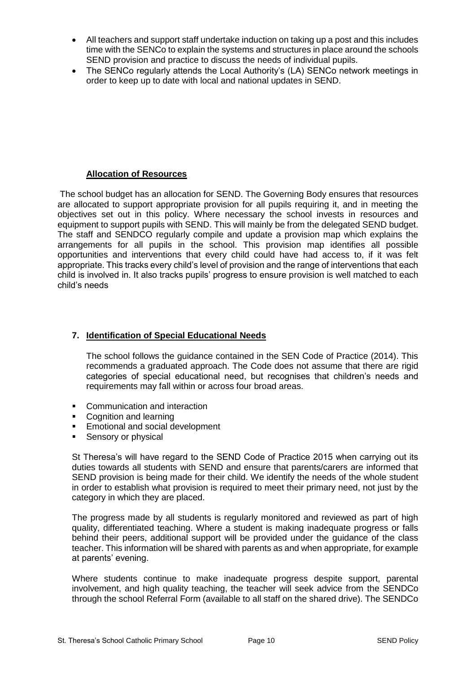- All teachers and support staff undertake induction on taking up a post and this includes time with the SENCo to explain the systems and structures in place around the schools SEND provision and practice to discuss the needs of individual pupils.
- The SENCo regularly attends the Local Authority's (LA) SENCo network meetings in order to keep up to date with local and national updates in SEND.

#### **Allocation of Resources**

The school budget has an allocation for SEND. The Governing Body ensures that resources are allocated to support appropriate provision for all pupils requiring it, and in meeting the objectives set out in this policy. Where necessary the school invests in resources and equipment to support pupils with SEND. This will mainly be from the delegated SEND budget. The staff and SENDCO regularly compile and update a provision map which explains the arrangements for all pupils in the school. This provision map identifies all possible opportunities and interventions that every child could have had access to, if it was felt appropriate. This tracks every child's level of provision and the range of interventions that each child is involved in. It also tracks pupils' progress to ensure provision is well matched to each child's needs

#### **7. Identification of Special Educational Needs**

The school follows the guidance contained in the SEN Code of Practice (2014). This recommends a graduated approach. The Code does not assume that there are rigid categories of special educational need, but recognises that children's needs and requirements may fall within or across four broad areas.

- **•** Communication and interaction
- Cognition and learning
- **Emotional and social development**
- Sensory or physical

St Theresa's will have regard to the SEND Code of Practice 2015 when carrying out its duties towards all students with SEND and ensure that parents/carers are informed that SEND provision is being made for their child. We identify the needs of the whole student in order to establish what provision is required to meet their primary need, not just by the category in which they are placed.

The progress made by all students is regularly monitored and reviewed as part of high quality, differentiated teaching. Where a student is making inadequate progress or falls behind their peers, additional support will be provided under the guidance of the class teacher. This information will be shared with parents as and when appropriate, for example at parents' evening.

Where students continue to make inadequate progress despite support, parental involvement, and high quality teaching, the teacher will seek advice from the SENDCo through the school Referral Form (available to all staff on the shared drive). The SENDCo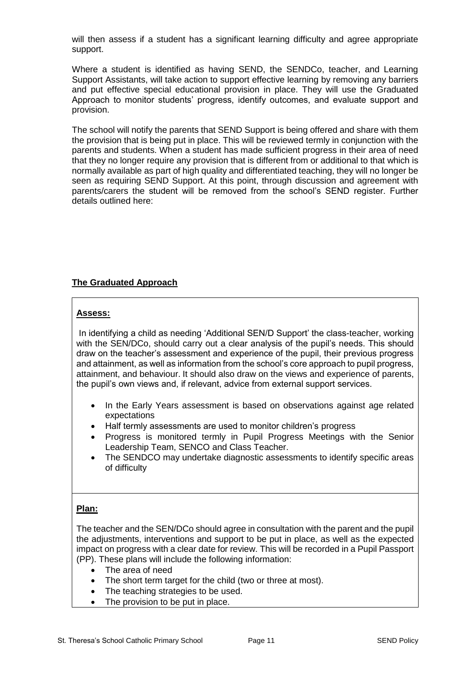will then assess if a student has a significant learning difficulty and agree appropriate support.

Where a student is identified as having SEND, the SENDCo, teacher, and Learning Support Assistants, will take action to support effective learning by removing any barriers and put effective special educational provision in place. They will use the Graduated Approach to monitor students' progress, identify outcomes, and evaluate support and provision.

The school will notify the parents that SEND Support is being offered and share with them the provision that is being put in place. This will be reviewed termly in conjunction with the parents and students. When a student has made sufficient progress in their area of need that they no longer require any provision that is different from or additional to that which is normally available as part of high quality and differentiated teaching, they will no longer be seen as requiring SEND Support. At this point, through discussion and agreement with parents/carers the student will be removed from the school's SEND register. Further details outlined here:

#### **The Graduated Approach**

#### **Assess:**

In identifying a child as needing 'Additional SEN/D Support' the class-teacher, working with the SEN/DCo, should carry out a clear analysis of the pupil's needs. This should draw on the teacher's assessment and experience of the pupil, their previous progress and attainment, as well as information from the school's core approach to pupil progress, attainment, and behaviour. It should also draw on the views and experience of parents, the pupil's own views and, if relevant, advice from external support services.

- In the Early Years assessment is based on observations against age related expectations
- Half termly assessments are used to monitor children's progress
- Progress is monitored termly in Pupil Progress Meetings with the Senior Leadership Team, SENCO and Class Teacher.
- The SENDCO may undertake diagnostic assessments to identify specific areas of difficulty

#### **Plan:**

The teacher and the SEN/DCo should agree in consultation with the parent and the pupil the adjustments, interventions and support to be put in place, as well as the expected impact on progress with a clear date for review. This will be recorded in a Pupil Passport (PP). These plans will include the following information:

- The area of need
- The short term target for the child (two or three at most).
- The teaching strategies to be used.
- The provision to be put in place.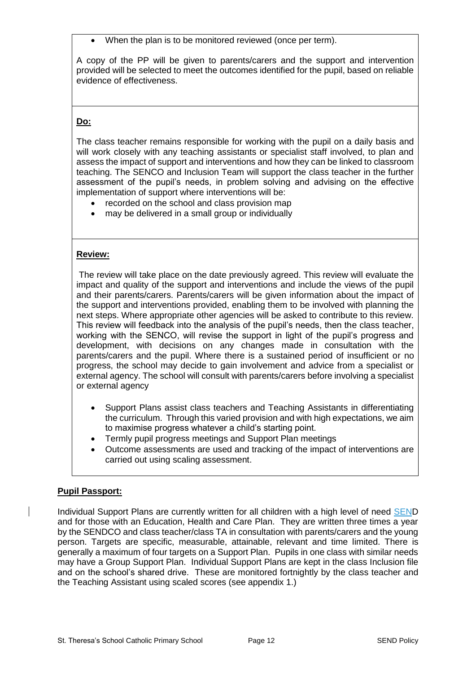When the plan is to be monitored reviewed (once per term).

A copy of the PP will be given to parents/carers and the support and intervention provided will be selected to meet the outcomes identified for the pupil, based on reliable evidence of effectiveness.

#### **Do:**

The class teacher remains responsible for working with the pupil on a daily basis and will work closely with any teaching assistants or specialist staff involved, to plan and assess the impact of support and interventions and how they can be linked to classroom teaching. The SENCO and Inclusion Team will support the class teacher in the further assessment of the pupil's needs, in problem solving and advising on the effective implementation of support where interventions will be:

- recorded on the school and class provision map
- may be delivered in a small group or individually

#### **Review:**

The review will take place on the date previously agreed. This review will evaluate the impact and quality of the support and interventions and include the views of the pupil and their parents/carers. Parents/carers will be given information about the impact of the support and interventions provided, enabling them to be involved with planning the next steps. Where appropriate other agencies will be asked to contribute to this review. This review will feedback into the analysis of the pupil's needs, then the class teacher, working with the SENCO, will revise the support in light of the pupil's progress and development, with decisions on any changes made in consultation with the parents/carers and the pupil. Where there is a sustained period of insufficient or no progress, the school may decide to gain involvement and advice from a specialist or external agency. The school will consult with parents/carers before involving a specialist or external agency

- Support Plans assist class teachers and Teaching Assistants in differentiating the curriculum. Through this varied provision and with high expectations, we aim to maximise progress whatever a child's starting point.
- Termly pupil progress meetings and Support Plan meetings
- Outcome assessments are used and tracking of the impact of interventions are carried out using scaling assessment.

#### **Pupil Passport:**

Individual Support Plans are currently written for all children with a high level of need SEND and for those with an Education, Health and Care Plan. They are written three times a year by the SENDCO and class teacher/class TA in consultation with parents/carers and the young person. Targets are specific, measurable, attainable, relevant and time limited. There is generally a maximum of four targets on a Support Plan. Pupils in one class with similar needs may have a Group Support Plan. Individual Support Plans are kept in the class Inclusion file and on the school's shared drive. These are monitored fortnightly by the class teacher and the Teaching Assistant using scaled scores (see appendix 1.)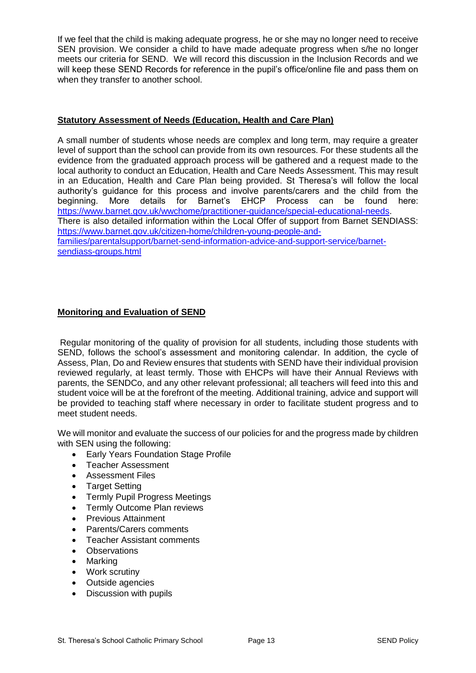If we feel that the child is making adequate progress, he or she may no longer need to receive SEN provision. We consider a child to have made adequate progress when s/he no longer meets our criteria for SEND. We will record this discussion in the Inclusion Records and we will keep these SEND Records for reference in the pupil's office/online file and pass them on when they transfer to another school.

#### **Statutory Assessment of Needs (Education, Health and Care Plan)**

A small number of students whose needs are complex and long term, may require a greater level of support than the school can provide from its own resources. For these students all the evidence from the graduated approach process will be gathered and a request made to the local authority to conduct an Education, Health and Care Needs Assessment. This may result in an Education, Health and Care Plan being provided. St Theresa's will follow the local authority's guidance for this process and involve parents/carers and the child from the beginning. More details for Barnet's EHCP Process can be found here: [https://www.barnet.gov.uk/wwchome/practitioner-guidance/special-educational-needs.](https://www.barnet.gov.uk/wwchome/practitioner-guidance/special-educational-needs) There is also detailed information within the Local Offer of support from Barnet SENDIASS: [https://www.barnet.gov.uk/citizen-home/children-young-people-and](https://www.barnet.gov.uk/citizen-home/children-young-people-and-families/parentalsupport/barnet-send-information-advice-and-support-service/barnet-sendiass-groups.html)[families/parentalsupport/barnet-send-information-advice-and-support-service/barnet](https://www.barnet.gov.uk/citizen-home/children-young-people-and-families/parentalsupport/barnet-send-information-advice-and-support-service/barnet-sendiass-groups.html)[sendiass-groups.html](https://www.barnet.gov.uk/citizen-home/children-young-people-and-families/parentalsupport/barnet-send-information-advice-and-support-service/barnet-sendiass-groups.html)

#### **Monitoring and Evaluation of SEND**

Regular monitoring of the quality of provision for all students, including those students with SEND, follows the school's assessment and monitoring calendar. In addition, the cycle of Assess, Plan, Do and Review ensures that students with SEND have their individual provision reviewed regularly, at least termly. Those with EHCPs will have their Annual Reviews with parents, the SENDCo, and any other relevant professional; all teachers will feed into this and student voice will be at the forefront of the meeting. Additional training, advice and support will be provided to teaching staff where necessary in order to facilitate student progress and to meet student needs.

We will monitor and evaluate the success of our policies for and the progress made by children with SEN using the following:

- **Early Years Foundation Stage Profile**
- Teacher Assessment
- Assessment Files
- Target Setting
- Termly Pupil Progress Meetings
- Termly Outcome Plan reviews
- Previous Attainment
- Parents/Carers comments
- Teacher Assistant comments
- Observations
- Marking
- Work scrutiny
- Outside agencies
- Discussion with pupils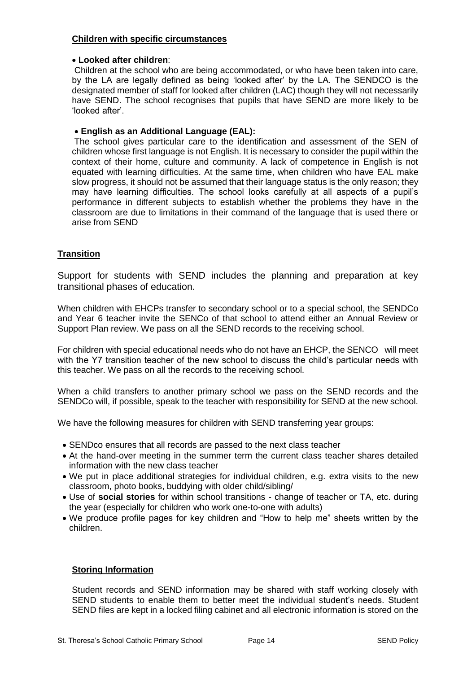#### **Children with specific circumstances**

#### **Looked after children**:

Children at the school who are being accommodated, or who have been taken into care, by the LA are legally defined as being 'looked after' by the LA. The SENDCO is the designated member of staff for looked after children (LAC) though they will not necessarily have SEND. The school recognises that pupils that have SEND are more likely to be 'looked after'.

#### **English as an Additional Language (EAL):**

The school gives particular care to the identification and assessment of the SEN of children whose first language is not English. It is necessary to consider the pupil within the context of their home, culture and community. A lack of competence in English is not equated with learning difficulties. At the same time, when children who have EAL make slow progress, it should not be assumed that their language status is the only reason; they may have learning difficulties. The school looks carefully at all aspects of a pupil's performance in different subjects to establish whether the problems they have in the classroom are due to limitations in their command of the language that is used there or arise from SEND

#### **Transition**

Support for students with SEND includes the planning and preparation at key transitional phases of education.

When children with EHCPs transfer to secondary school or to a special school, the SENDCo and Year 6 teacher invite the SENCo of that school to attend either an Annual Review or Support Plan review. We pass on all the SEND records to the receiving school.

For children with special educational needs who do not have an EHCP, the SENCO will meet with the Y7 transition teacher of the new school to discuss the child's particular needs with this teacher. We pass on all the records to the receiving school.

When a child transfers to another primary school we pass on the SEND records and the SENDCo will, if possible, speak to the teacher with responsibility for SEND at the new school.

We have the following measures for children with SEND transferring year groups:

- SENDco ensures that all records are passed to the next class teacher
- At the hand-over meeting in the summer term the current class teacher shares detailed information with the new class teacher
- We put in place additional strategies for individual children, e.g. extra visits to the new classroom, photo books, buddying with older child/sibling/
- Use of **social stories** for within school transitions change of teacher or TA, etc. during the year (especially for children who work one-to-one with adults)
- We produce profile pages for key children and "How to help me" sheets written by the children.

#### **Storing Information**

Student records and SEND information may be shared with staff working closely with SEND students to enable them to better meet the individual student's needs. Student SEND files are kept in a locked filing cabinet and all electronic information is stored on the